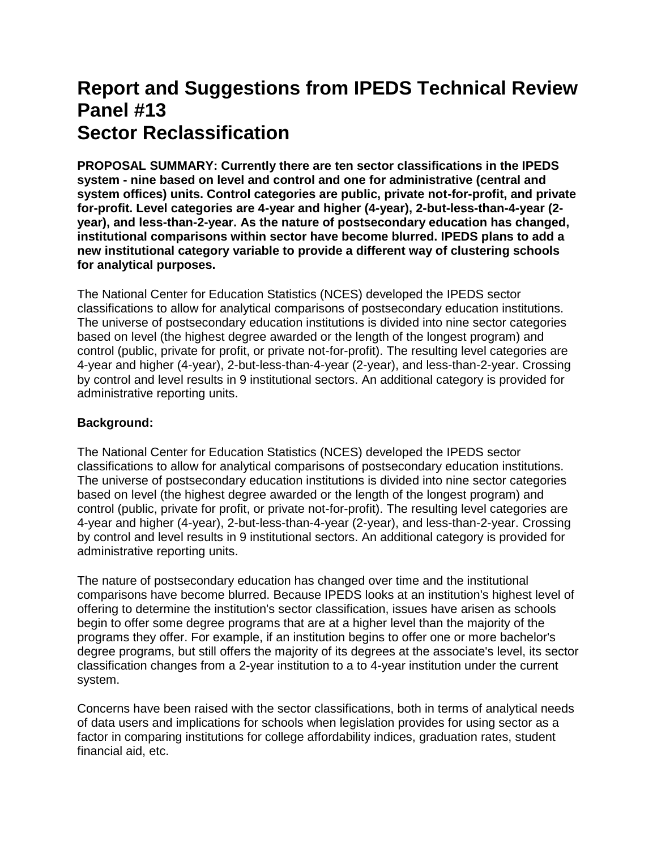# **Report and Suggestions from IPEDS Technical Review Panel #13 Sector Reclassification**

**PROPOSAL SUMMARY: Currently there are ten sector classifications in the IPEDS system - nine based on level and control and one for administrative (central and system offices) units. Control categories are public, private not-for-profit, and private for-profit. Level categories are 4-year and higher (4-year), 2-but-less-than-4-year (2 year), and less-than-2-year. As the nature of postsecondary education has changed, institutional comparisons within sector have become blurred. IPEDS plans to add a new institutional category variable to provide a different way of clustering schools for analytical purposes.**

The National Center for Education Statistics (NCES) developed the IPEDS sector classifications to allow for analytical comparisons of postsecondary education institutions. The universe of postsecondary education institutions is divided into nine sector categories based on level (the highest degree awarded or the length of the longest program) and control (public, private for profit, or private not-for-profit). The resulting level categories are 4-year and higher (4-year), 2-but-less-than-4-year (2-year), and less-than-2-year. Crossing by control and level results in 9 institutional sectors. An additional category is provided for administrative reporting units.

# **Background:**

The National Center for Education Statistics (NCES) developed the IPEDS sector classifications to allow for analytical comparisons of postsecondary education institutions. The universe of postsecondary education institutions is divided into nine sector categories based on level (the highest degree awarded or the length of the longest program) and control (public, private for profit, or private not-for-profit). The resulting level categories are 4-year and higher (4-year), 2-but-less-than-4-year (2-year), and less-than-2-year. Crossing by control and level results in 9 institutional sectors. An additional category is provided for administrative reporting units.

The nature of postsecondary education has changed over time and the institutional comparisons have become blurred. Because IPEDS looks at an institution's highest level of offering to determine the institution's sector classification, issues have arisen as schools begin to offer some degree programs that are at a higher level than the majority of the programs they offer. For example, if an institution begins to offer one or more bachelor's degree programs, but still offers the majority of its degrees at the associate's level, its sector classification changes from a 2-year institution to a to 4-year institution under the current system.

Concerns have been raised with the sector classifications, both in terms of analytical needs of data users and implications for schools when legislation provides for using sector as a factor in comparing institutions for college affordability indices, graduation rates, student financial aid, etc.